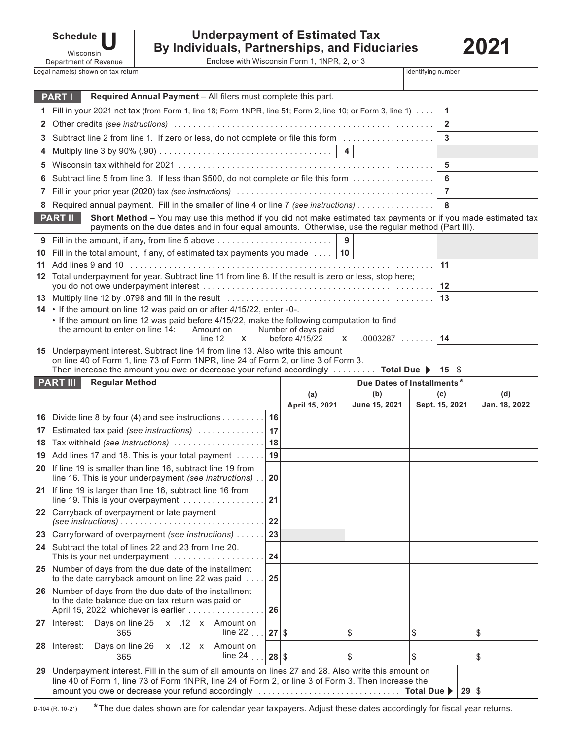| <b>Schedule</b> |  |
|-----------------|--|
| Wisconsin       |  |

## **Underpayment of Estimated Tax By Individuals, Partnerships, and Fiduciaries**

Enclose with Wisconsin Form 1, 1NPR, 2, or 3

**2021**

| Department of Revenue             | Enclose with Wisconsin Form 1, 1NPR, 2, or 3 |                    |  |
|-----------------------------------|----------------------------------------------|--------------------|--|
| Legal name(s) shown on tax return |                                              | Identifying number |  |

|              | Required Annual Payment - All filers must complete this part.<br><b>PART I</b>                                                                                                                               |          |                     |                            |    |                  |               |
|--------------|--------------------------------------------------------------------------------------------------------------------------------------------------------------------------------------------------------------|----------|---------------------|----------------------------|----|------------------|---------------|
|              | 1 Fill in your 2021 net tax (from Form 1, line 18; Form 1NPR, line 51; Form 2, line 10; or Form 3, line 1)                                                                                                   |          |                     |                            |    | $\mathbf{1}$     |               |
| $\mathbf{2}$ |                                                                                                                                                                                                              |          |                     |                            |    |                  |               |
| 3.           | Subtract line 2 from line 1. If zero or less, do not complete or file this form                                                                                                                              |          |                     |                            |    |                  |               |
|              |                                                                                                                                                                                                              |          |                     |                            |    |                  |               |
| 5            |                                                                                                                                                                                                              |          |                     |                            |    | 5                |               |
|              | Subtract line 5 from line 3. If less than \$500, do not complete or file this form                                                                                                                           |          |                     |                            |    | 6                |               |
| 7            |                                                                                                                                                                                                              |          |                     |                            |    | $\overline{7}$   |               |
|              |                                                                                                                                                                                                              |          |                     |                            |    | 8                |               |
|              | Short Method - You may use this method if you did not make estimated tax payments or if you made estimated tax<br><b>PART II</b>                                                                             |          |                     |                            |    |                  |               |
|              | payments on the due dates and in four equal amounts. Otherwise, use the regular method (Part III).                                                                                                           |          |                     |                            |    |                  |               |
|              | 9 Fill in the amount, if any, from line 5 above<br>10 Fill in the total amount, if any, of estimated tax payments you made $\dots$   10                                                                      |          |                     | 9                          |    |                  |               |
|              |                                                                                                                                                                                                              |          |                     |                            |    | 11               |               |
|              | 12 Total underpayment for year. Subtract line 11 from line 8. If the result is zero or less, stop here;                                                                                                      |          |                     |                            |    |                  |               |
|              |                                                                                                                                                                                                              |          |                     |                            |    | 12               |               |
|              |                                                                                                                                                                                                              |          |                     |                            |    | 13               |               |
|              | 14 • If the amount on line 12 was paid on or after 4/15/22, enter -0-.<br>. If the amount on line 12 was paid before 4/15/22, make the following computation to find                                         |          |                     |                            |    |                  |               |
|              | the amount to enter on line 14:<br>Amount on                                                                                                                                                                 |          | Number of days paid |                            |    |                  |               |
|              | line 12<br>$\mathsf{x}$                                                                                                                                                                                      |          | before 4/15/22      | $.0003287$<br>X            |    | 14               |               |
|              | 15 Underpayment interest. Subtract line 14 from line 13. Also write this amount<br>on line 40 of Form 1, line 73 of Form 1NPR, line 24 of Form 2, or line 3 of Form 3.                                       |          |                     |                            |    |                  |               |
|              | Then increase the amount you owe or decrease your refund accordingly $\dots\dots$ Total Due                                                                                                                  |          |                     |                            |    | $15 \, \text{S}$ |               |
|              | <b>PART III</b><br><b>Regular Method</b>                                                                                                                                                                     |          |                     | Due Dates of Installments* |    |                  |               |
|              |                                                                                                                                                                                                              |          | (a)                 | (b)                        |    | (c)              | (d)           |
|              |                                                                                                                                                                                                              |          | April 15, 2021      | June 15, 2021              |    | Sept. 15, 2021   | Jan. 18, 2022 |
|              |                                                                                                                                                                                                              |          |                     |                            |    |                  |               |
|              | 16 Divide line 8 by four (4) and see instructions                                                                                                                                                            | 16       |                     |                            |    |                  |               |
|              | 17 Estimated tax paid (see instructions)                                                                                                                                                                     | 17       |                     |                            |    |                  |               |
|              | 18 Tax withheld (see instructions)                                                                                                                                                                           | 18       |                     |                            |    |                  |               |
| 19           | Add lines 17 and 18. This is your total payment                                                                                                                                                              | 19       |                     |                            |    |                  |               |
|              | 20 If line 19 is smaller than line 16, subtract line 19 from<br>line 16. This is your underpayment (see instructions)                                                                                        | 20       |                     |                            |    |                  |               |
|              | 21 If line 19 is larger than line 16, subtract line 16 from                                                                                                                                                  |          |                     |                            |    |                  |               |
|              | line 19. This is your overpayment                                                                                                                                                                            | 21       |                     |                            |    |                  |               |
|              | 22 Carryback of overpayment or late payment                                                                                                                                                                  |          |                     |                            |    |                  |               |
|              | (see instructions) $\ldots \ldots \ldots \ldots \ldots \ldots \ldots \ldots \ldots \ldots$                                                                                                                   | 22<br>23 |                     |                            |    |                  |               |
|              | 23 Carryforward of overpayment (see instructions)<br>24 Subtract the total of lines 22 and 23 from line 20.                                                                                                  |          |                     |                            |    |                  |               |
|              | This is your net underpayment                                                                                                                                                                                | 24       |                     |                            |    |                  |               |
|              | 25 Number of days from the due date of the installment                                                                                                                                                       |          |                     |                            |    |                  |               |
|              | to the date carryback amount on line 22 was paid                                                                                                                                                             | 25       |                     |                            |    |                  |               |
|              | 26 Number of days from the due date of the installment<br>to the date balance due on tax return was paid or                                                                                                  |          |                     |                            |    |                  |               |
|              | April 15, 2022, whichever is earlier                                                                                                                                                                         | 26       |                     |                            |    |                  |               |
|              | Days on line 25<br>x .12 x Amount on<br>27 Interest:                                                                                                                                                         |          |                     |                            |    |                  |               |
|              | line 22 $\ldots$<br>365                                                                                                                                                                                      | $27$ \$  |                     | \$                         | \$ |                  | \$            |
| 28           | Days on line 26<br>x .12 x Amount on<br>Interest:<br>line $24$<br>365                                                                                                                                        | 28       | \$                  | \$                         | \$ |                  | \$            |
|              |                                                                                                                                                                                                              |          |                     |                            |    |                  |               |
|              | 29 Underpayment interest. Fill in the sum of all amounts on lines 27 and 28. Also write this amount on<br>line 40 of Form 1, line 73 of Form 1NPR, line 24 of Form 2, or line 3 of Form 3. Then increase the |          |                     |                            |    | $29$ \$          |               |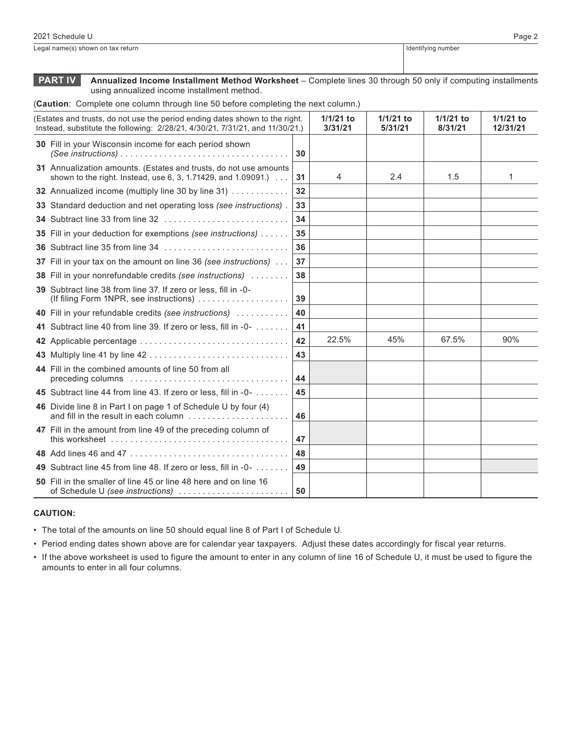Legal name(s) shown on tax return **Identifying number** Identifying number

**PART IV Annualized Income Installment Method Worksheet** – Complete lines 30 through 50 only if computing installments using annualized income installment method.

(**Caution**: Complete one column through line 50 before completing the next column.)

| (Estates and trusts, do not use the period ending dates shown to the right.<br>Instead, substitute the following: 2/28/21, 4/30/21, 7/31/21, and 11/30/21.) |                 | $1/1/21$ to<br>3/31/21 | 1/1/21 to<br>5/31/21 | $1/1/21$ to<br>8/31/21 | $1/1/21$ to<br>12/31/21 |
|-------------------------------------------------------------------------------------------------------------------------------------------------------------|-----------------|------------------------|----------------------|------------------------|-------------------------|
| 30 Fill in your Wisconsin income for each period shown                                                                                                      | 30              |                        |                      |                        |                         |
| 31 Annualization amounts. (Estates and trusts, do not use amounts<br>shown to the right. Instead, use 6, 3, 1.71429, and 1.09091.)                          | 31              | 4                      | 2.4                  | 1.5                    | 1                       |
| 32 Annualized income (multiply line 30 by line 31)                                                                                                          | 32 <sub>2</sub> |                        |                      |                        |                         |
| 33 Standard deduction and net operating loss (see instructions).                                                                                            | 33              |                        |                      |                        |                         |
|                                                                                                                                                             | 34              |                        |                      |                        |                         |
| 35 Fill in your deduction for exemptions (see instructions)                                                                                                 | 35              |                        |                      |                        |                         |
| 36 Subtract line 35 from line 34                                                                                                                            | 36              |                        |                      |                        |                         |
| 37 Fill in your tax on the amount on line 36 (see instructions)                                                                                             | 37              |                        |                      |                        |                         |
| <b>38</b> Fill in your nonrefundable credits (see instructions)                                                                                             | 38              |                        |                      |                        |                         |
| 39 Subtract line 38 from line 37. If zero or less, fill in -0-<br>(If filing Form 1NPR, see instructions)                                                   | 39              |                        |                      |                        |                         |
| 40 Fill in your refundable credits (see instructions)                                                                                                       | 40              |                        |                      |                        |                         |
| 41 Subtract line 40 from line 39. If zero or less, fill in -0-                                                                                              | 41              |                        |                      |                        |                         |
| 42 Applicable percentage                                                                                                                                    | 42              | 22.5%                  | 45%                  | 67.5%                  | 90%                     |
|                                                                                                                                                             | 43              |                        |                      |                        |                         |
| 44 Fill in the combined amounts of line 50 from all                                                                                                         | 44              |                        |                      |                        |                         |
| 45 Subtract line 44 from line 43. If zero or less, fill in -0-                                                                                              | 45              |                        |                      |                        |                         |
| 46 Divide line 8 in Part I on page 1 of Schedule U by four (4)<br>and fill in the result in each column                                                     | 46              |                        |                      |                        |                         |
| 47 Fill in the amount from line 49 of the preceding column of                                                                                               | 47              |                        |                      |                        |                         |
|                                                                                                                                                             | 48              |                        |                      |                        |                         |
| 49 Subtract line 45 from line 48. If zero or less, fill in -0-                                                                                              | 49              |                        |                      |                        |                         |
| 50 Fill in the smaller of line 45 or line 48 here and on line 16<br>of Schedule U (see instructions)                                                        | 50              |                        |                      |                        |                         |

#### **CAUTION:**

• The total of the amounts on line 50 should equal line 8 of Part I of Schedule U.

• Period ending dates shown above are for calendar year taxpayers. Adjust these dates accordingly for fiscal year returns.

• If the above worksheet is used to figure the amount to enter in any column of line 16 of Schedule U, it must be used to figure the amounts to enter in all four columns.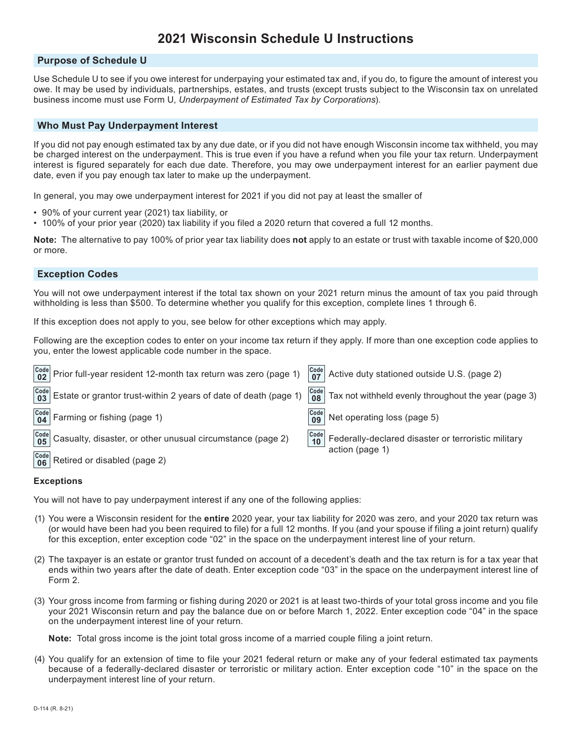# **2021 Wisconsin Schedule U Instructions**

## **Purpose of Schedule U**

Use Schedule U to see if you owe interest for underpaying your estimated tax and, if you do, to figure the amount of interest you owe. It may be used by individuals, partnerships, estates, and trusts (except trusts subject to the Wisconsin tax on unrelated business income must use Form U, *Underpayment of Estimated Tax by Corporations*).

## **Who Must Pay Underpayment Interest**

If you did not pay enough estimated tax by any due date, or if you did not have enough Wisconsin income tax withheld, you may be charged interest on the underpayment. This is true even if you have a refund when you file your tax return. Underpayment interest is figured separately for each due date. Therefore, you may owe underpayment interest for an earlier payment due date, even if you pay enough tax later to make up the underpayment.

In general, you may owe underpayment interest for 2021 if you did not pay at least the smaller of

- 90% of your current year (2021) tax liability, or
- 100% of your prior year (2020) tax liability if you filed a 2020 return that covered a full 12 months.

**Note:** The alternative to pay 100% of prior year tax liability does **not** apply to an estate or trust with taxable income of \$20,000 or more.

#### **Exception Codes**

You will not owe underpayment interest if the total tax shown on your 2021 return minus the amount of tax you paid through withholding is less than \$500. To determine whether you qualify for this exception, complete lines 1 through 6.

If this exception does not apply to you, see below for other exceptions which may apply.

Following are the exception codes to enter on your income tax return if they apply. If more than one exception code applies to you, enter the lowest applicable code number in the space.

| $\begin{vmatrix} \text{Code} \\ \text{02} \end{vmatrix}$ Prior full-year resident 12-month tax return was zero (page 1) |                                                                      | $\begin{vmatrix} \text{Code} \\ \text{07} \end{vmatrix}$ Active duty stationed outside U.S. (page 2) |
|-------------------------------------------------------------------------------------------------------------------------|----------------------------------------------------------------------|------------------------------------------------------------------------------------------------------|
| $\frac{[Code]}{03}$ Estate or grantor trust-within 2 years of date of death (page 1)                                    | $\begin{array}{ c c }\n\hline\n\text{Code} & \text{08}\n\end{array}$ | Tax not withheld evenly throughout the year (page 3)                                                 |
| $\begin{bmatrix} \text{Code} \\ \text{04} \end{bmatrix}$ Farming or fishing (page 1)                                    | $\begin{array}{c} \text{Code} \\ \textbf{09} \end{array}$            | Net operating loss (page 5)                                                                          |
| $\frac{\text{Code}}{\text{05}}$ Casualty, disaster, or other unusual circumstance (page 2)                              | $\begin{array}{ c c }\n\hline\n\text{Code} & \text{10}\n\end{array}$ | Federally-declared disaster or terroristic military<br>action (page 1)                               |
| $\begin{bmatrix} \text{Code} \\ \text{06} \end{bmatrix}$ Retired or disabled (page 2)                                   |                                                                      |                                                                                                      |

#### **Exceptions**

You will not have to pay underpayment interest if any one of the following applies:

- (1) You were a Wisconsin resident for the **entire** 2020 year, your tax liability for 2020 was zero, and your 2020 tax return was (or would have been had you been required to file) for a full 12 months. If you (and your spouse if filing a joint return) qualify for this exception, enter exception code "02" in the space on the underpayment interest line of your return.
- (2) The taxpayer is an estate or grantor trust funded on account of a decedent's death and the tax return is for a tax year that ends within two years after the date of death. Enter exception code "03" in the space on the underpayment interest line of Form 2.
- (3) Your gross income from farming or fishing during 2020 or 2021 is at least two-thirds of your total gross income and you file your 2021 Wisconsin return and pay the balance due on or before March 1, 2022. Enter exception code "04" in the space on the underpayment interest line of your return.

**Note:** Total gross income is the joint total gross income of a married couple filing a joint return.

(4) You qualify for an extension of time to file your 2021 federal return or make any of your federal estimated tax payments because of a federally-declared disaster or terroristic or military action. Enter exception code "10" in the space on the underpayment interest line of your return.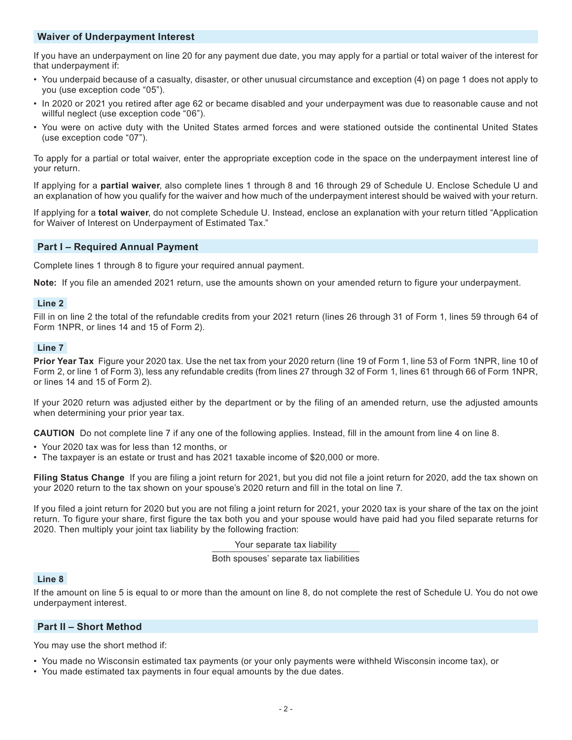## **Waiver of Underpayment Interest**

If you have an underpayment on line 20 for any payment due date, you may apply for a partial or total waiver of the interest for that underpayment if:

- You underpaid because of a casualty, disaster, or other unusual circumstance and exception (4) on page 1 does not apply to you (use exception code "05").
- In 2020 or 2021 you retired after age 62 or became disabled and your underpayment was due to reasonable cause and not willful neglect (use exception code "06").
- You were on active duty with the United States armed forces and were stationed outside the continental United States (use exception code "07").

To apply for a partial or total waiver, enter the appropriate exception code in the space on the underpayment interest line of your return.

If applying for a **partial waiver**, also complete lines 1 through 8 and 16 through 29 of Schedule U. Enclose Schedule U and an explanation of how you qualify for the waiver and how much of the underpayment interest should be waived with your return.

If applying for a **total waiver**, do not complete Schedule U. Instead, enclose an explanation with your return titled "Application for Waiver of Interest on Underpayment of Estimated Tax."

## **Part I – Required Annual Payment**

Complete lines 1 through 8 to figure your required annual payment.

**Note:** If you file an amended 2021 return, use the amounts shown on your amended return to figure your underpayment.

## **Line 2**

Fill in on line 2 the total of the refundable credits from your 2021 return (lines 26 through 31 of Form 1, lines 59 through 64 of Form 1NPR, or lines 14 and 15 of Form 2).

## **Line 7**

**Prior Year Tax** Figure your 2020 tax. Use the net tax from your 2020 return (line 19 of Form 1, line 53 of Form 1NPR, line 10 of Form 2, or line 1 of Form 3), less any refundable credits (from lines 27 through 32 of Form 1, lines 61 through 66 of Form 1NPR, or lines 14 and 15 of Form 2).

If your 2020 return was adjusted either by the department or by the filing of an amended return, use the adjusted amounts when determining your prior year tax.

**CAUTION** Do not complete line 7 if any one of the following applies. Instead, fill in the amount from line 4 on line 8.

- Your 2020 tax was for less than 12 months, or
- The taxpayer is an estate or trust and has 2021 taxable income of \$20,000 or more.

**Filing Status Change** If you are filing a joint return for 2021, but you did not file a joint return for 2020, add the tax shown on your 2020 return to the tax shown on your spouse's 2020 return and fill in the total on line 7.

If you filed a joint return for 2020 but you are not filing a joint return for 2021, your 2020 tax is your share of the tax on the joint return. To figure your share, first figure the tax both you and your spouse would have paid had you filed separate returns for 2020. Then multiply your joint tax liability by the following fraction:

Your separate tax liability

Both spouses' separate tax liabilities

## **Line 8**

If the amount on line 5 is equal to or more than the amount on line 8, do not complete the rest of Schedule U. You do not owe underpayment interest.

## **Part II – Short Method**

You may use the short method if:

- You made no Wisconsin estimated tax payments (or your only payments were withheld Wisconsin income tax), or
- You made estimated tax payments in four equal amounts by the due dates.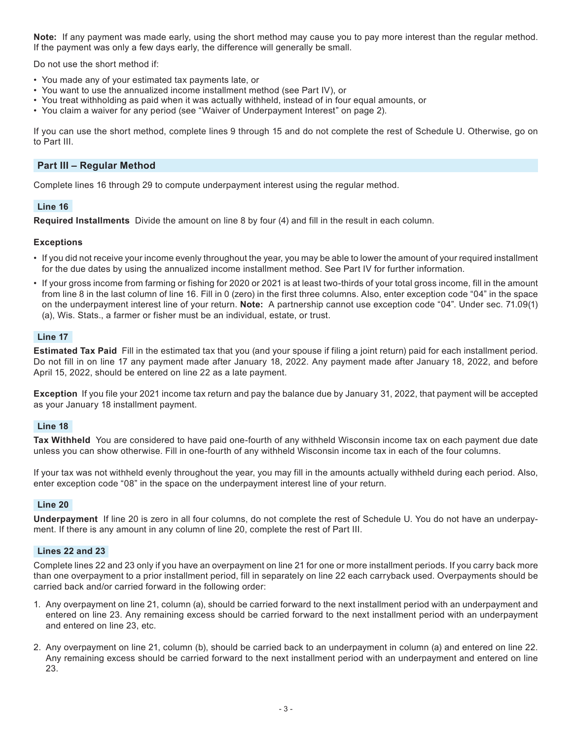**Note:** If any payment was made early, using the short method may cause you to pay more interest than the regular method. If the payment was only a few days early, the difference will generally be small.

Do not use the short method if:

- You made any of your estimated tax payments late, or
- You want to use the annualized income installment method (see Part IV), or
- You treat withholding as paid when it was actually withheld, instead of in four equal amounts, or
- You claim a waiver for any period (see "Waiver of Underpayment Interest" on page 2).

If you can use the short method, complete lines 9 through 15 and do not complete the rest of Schedule U. Otherwise, go on to Part III.

## **Part III – Regular Method**

Complete lines 16 through 29 to compute underpayment interest using the regular method.

## **Line 16**

**Required Installments** Divide the amount on line 8 by four (4) and fill in the result in each column.

## **Exceptions**

- If you did not receive your income evenly throughout the year, you may be able to lower the amount of your required installment for the due dates by using the annualized income installment method. See Part IV for further information.
- If your gross income from farming or fishing for 2020 or 2021 is at least two-thirds of your total gross income, fill in the amount from line 8 in the last column of line 16. Fill in 0 (zero) in the first three columns. Also, enter exception code "04" in the space on the underpayment interest line of your return. **Note:** A partnership cannot use exception code "04". Under sec. 71.09(1) (a), Wis. Stats., a farmer or fisher must be an individual, estate, or trust.

## **Line 17**

**Estimated Tax Paid** Fill in the estimated tax that you (and your spouse if filing a joint return) paid for each installment period. Do not fill in on line 17 any payment made after January 18, 2022. Any payment made after January 18, 2022, and before April 15, 2022, should be entered on line 22 as a late payment.

**Exception** If you file your 2021 income tax return and pay the balance due by January 31, 2022, that payment will be accepted as your January 18 installment payment.

#### **Line 18**

**Tax Withheld** You are considered to have paid one-fourth of any withheld Wisconsin income tax on each payment due date unless you can show otherwise. Fill in one-fourth of any withheld Wisconsin income tax in each of the four columns.

If your tax was not withheld evenly throughout the year, you may fill in the amounts actually withheld during each period. Also, enter exception code "08" in the space on the underpayment interest line of your return.

#### **Line 20**

**Underpayment** If line 20 is zero in all four columns, do not complete the rest of Schedule U. You do not have an underpayment. If there is any amount in any column of line 20, complete the rest of Part III.

## **Lines 22 and 23**

Complete lines 22 and 23 only if you have an overpayment on line 21 for one or more installment periods. If you carry back more than one overpayment to a prior installment period, fill in separately on line 22 each carryback used. Overpayments should be carried back and/or carried forward in the following order:

- 1. Any overpayment on line 21, column (a), should be carried forward to the next installment period with an underpayment and entered on line 23. Any remaining excess should be carried forward to the next installment period with an underpayment and entered on line 23, etc.
- 2. Any overpayment on line 21, column (b), should be carried back to an underpayment in column (a) and entered on line 22. Any remaining excess should be carried forward to the next installment period with an underpayment and entered on line 23.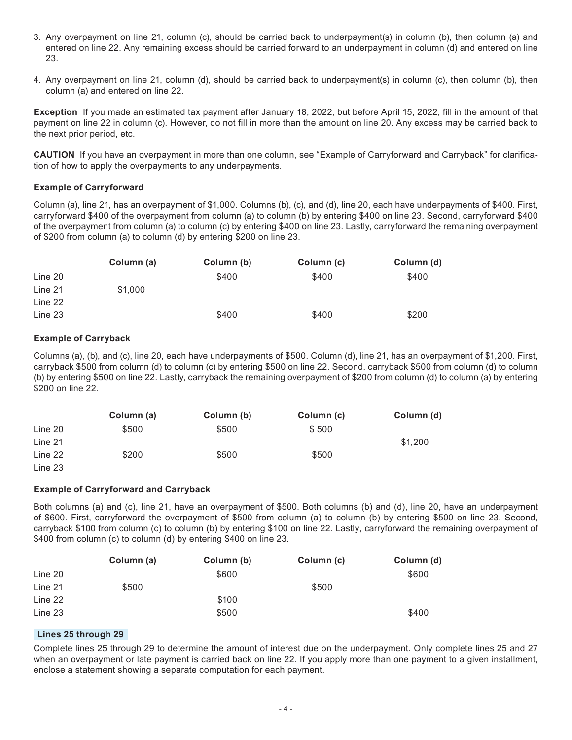- 3. Any overpayment on line 21, column (c), should be carried back to underpayment(s) in column (b), then column (a) and entered on line 22. Any remaining excess should be carried forward to an underpayment in column (d) and entered on line 23.
- 4. Any overpayment on line 21, column (d), should be carried back to underpayment(s) in column (c), then column (b), then column (a) and entered on line 22.

**Exception** If you made an estimated tax payment after January 18, 2022, but before April 15, 2022, fill in the amount of that payment on line 22 in column (c). However, do not fill in more than the amount on line 20. Any excess may be carried back to the next prior period, etc.

**CAUTION** If you have an overpayment in more than one column, see "Example of Carryforward and Carryback" for clarification of how to apply the overpayments to any underpayments.

## **Example of Carryforward**

Column (a), line 21, has an overpayment of \$1,000. Columns (b), (c), and (d), line 20, each have underpayments of \$400. First, carryforward \$400 of the overpayment from column (a) to column (b) by entering \$400 on line 23. Second, carryforward \$400 of the overpayment from column (a) to column (c) by entering \$400 on line 23. Lastly, carryforward the remaining overpayment of \$200 from column (a) to column (d) by entering \$200 on line 23.

|         | Column (a) | Column (b) | Column (c) | Column (d) |
|---------|------------|------------|------------|------------|
| Line 20 |            | \$400      | \$400      | \$400      |
| Line 21 | \$1,000    |            |            |            |
| Line 22 |            |            |            |            |
| Line 23 |            | \$400      | \$400      | \$200      |

## **Example of Carryback**

Columns (a), (b), and (c), line 20, each have underpayments of \$500. Column (d), line 21, has an overpayment of \$1,200. First, carryback \$500 from column (d) to column (c) by entering \$500 on line 22. Second, carryback \$500 from column (d) to column (b) by entering \$500 on line 22. Lastly, carryback the remaining overpayment of \$200 from column (d) to column (a) by entering \$200 on line 22.

|         | Column (a) | Column (b) | Column (c) | Column (d) |
|---------|------------|------------|------------|------------|
| Line 20 | \$500      | \$500      | \$500      |            |
| Line 21 |            |            |            | \$1,200    |
| Line 22 | \$200      | \$500      | \$500      |            |
| Line 23 |            |            |            |            |

## **Example of Carryforward and Carryback**

Both columns (a) and (c), line 21, have an overpayment of \$500. Both columns (b) and (d), line 20, have an underpayment of \$600. First, carryforward the overpayment of \$500 from column (a) to column (b) by entering \$500 on line 23. Second, carryback \$100 from column (c) to column (b) by entering \$100 on line 22. Lastly, carryforward the remaining overpayment of \$400 from column (c) to column (d) by entering \$400 on line 23.

|         | Column (a) | Column (b) | Column (c) | Column (d) |
|---------|------------|------------|------------|------------|
| Line 20 |            | \$600      |            | \$600      |
| Line 21 | \$500      |            | \$500      |            |
| Line 22 |            | \$100      |            |            |
| Line 23 |            | \$500      |            | \$400      |

## **Lines 25 through 29**

Complete lines 25 through 29 to determine the amount of interest due on the underpayment. Only complete lines 25 and 27 when an overpayment or late payment is carried back on line 22. If you apply more than one payment to a given installment, enclose a statement showing a separate computation for each payment.